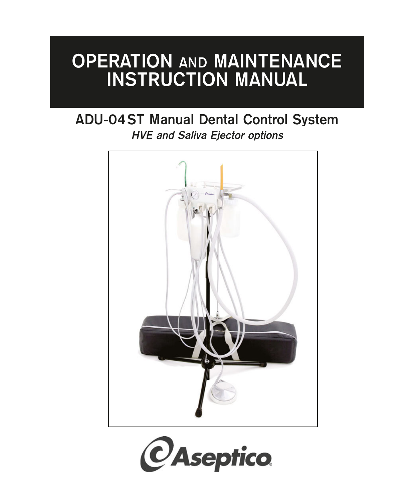# **OPERATION AND MAINTENANCE INSTRUCTION MANUAL**

## **ADU-04ST Manual Dental Control System HVE and Saliva Ejector options**



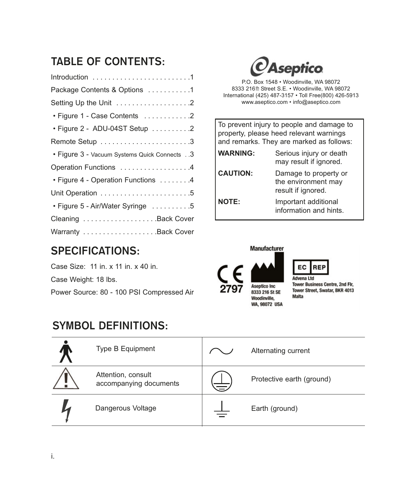### **TABLE OF CONTENTS:**

| Package Contents & Options 1                 |
|----------------------------------------------|
| Setting Up the Unit 2                        |
| • Figure 1 - Case Contents 2                 |
| • Figure 2 - ADU-04ST Setup 2                |
| Remote Setup 3                               |
| • Figure 3 - Vacuum Systems Quick Connects 3 |
| Operation Functions 4                        |
| • Figure 4 - Operation Functions 4           |
|                                              |
| • Figure 5 - Air/Water Syringe 5             |
| Cleaning Back Cover                          |
|                                              |

### **SPECIFICATIONS:**

Case Size: 11 in. x 11 in. x 40 in. Case Weight: 18 lbs. Power Source: 80 - 100 PSI Compressed Air

### **SYMBOL DEFINITIONS:**



P.O. Box 1548 • Woodinville, WA 98072 8333 216<sup>th</sup> Street S.E. • Woodinville, WA 98072 International (425) 487-3157 • Toll Free(800) 426-5913 www.aseptico.com • info@aseptico.com

| To prevent injury to people and damage to<br>property, please heed relevant warnings<br>and remarks. They are marked as follows: |                                                                    |  |  |  |
|----------------------------------------------------------------------------------------------------------------------------------|--------------------------------------------------------------------|--|--|--|
| <b>WARNING:</b>                                                                                                                  | Serious injury or death<br>may result if ignored.                  |  |  |  |
| <b>CAUTION:</b>                                                                                                                  | Damage to property or<br>the environment may<br>result if ignored. |  |  |  |
| <b>NOTE:</b>                                                                                                                     | Important additional<br>information and hints.                     |  |  |  |





**Tower Business Centre, 2nd Flr,** Tower Street, Swatar, BKR 4013 Malta

| Type B Equipment                             |          | Alternating current       |
|----------------------------------------------|----------|---------------------------|
| Attention, consult<br>accompanying documents | $\equiv$ | Protective earth (ground) |
| Dangerous Voltage                            |          | Earth (ground)            |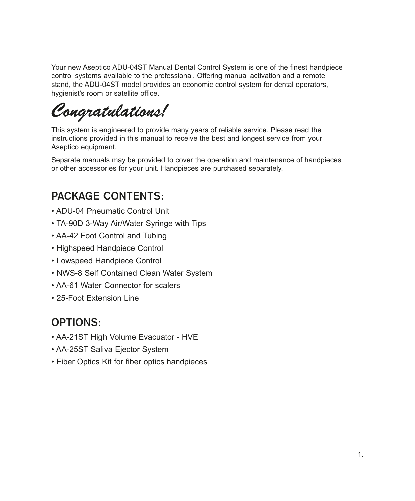Your new Aseptico ADU-04ST Manual Dental Control System is one of the finest handpiece control systems available to the professional. Offering manual activation and a remote stand, the ADU-04ST model provides an economic control system for dental operators, hygienist's room or satellite office.

*Congratulations!*

This system is engineered to provide many years of reliable service. Please read the instructions provided in this manual to receive the best and longest service from your Aseptico equipment.

Separate manuals may be provided to cover the operation and maintenance of handpieces or other accessories for your unit. Handpieces are purchased separately.

### **PACKAGE CONTENTS:**

- ADU-04 Pneumatic Control Unit
- TA-90D 3-Way Air/Water Syringe with Tips
- AA-42 Foot Control and Tubing
- Highspeed Handpiece Control
- Lowspeed Handpiece Control
- NWS-8 Self Contained Clean Water System
- AA-61 Water Connector for scalers
- 25-Foot Extension Line

### **OPTIONS:**

- AA-21ST High Volume Evacuator HVE
- AA-25ST Saliva Ejector System
- Fiber Optics Kit for fiber optics handpieces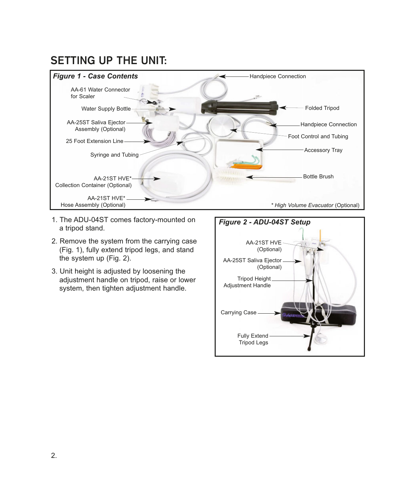### **SETTING UP THE UNIT:**



- 1. The ADU-04ST comes factory-mounted on a tripod stand.
- 2. Remove the system from the carrying case (Fig. 1), fully extend tripod legs, and stand the system up (Fig. 2).
- 3. Unit height is adjusted by loosening the adjustment handle on tripod, raise or lower system, then tighten adjustment handle.

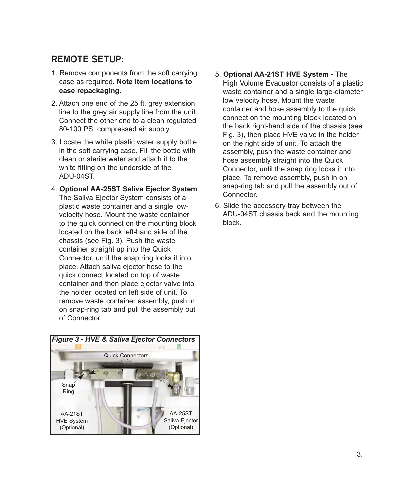### **REMOTE SETUP:**

- 1. Remove components from the soft carrying case as required. **Note item locations to ease repackaging.**
- 2. Attach one end of the 25 ft. grey extension line to the grey air supply line from the unit. Connect the other end to a clean regulated 80-100 PSI compressed air supply.
- 3. Locate the white plastic water supply bottle in the soft carrying case. Fill the bottle with clean or sterile water and attach it to the white fitting on the underside of the ADU-04ST.
- 4. **Optional AA-25ST Saliva Ejector System** The Saliva Ejector System consists of a plastic waste container and a single lowvelocity hose. Mount the waste container to the quick connect on the mounting block located on the back left-hand side of the chassis (see Fig. 3). Push the waste container straight up into the Quick Connector, until the snap ring locks it into place. Attach saliva ejector hose to the quick connect located on top of waste container and then place ejector valve into the holder located on left side of unit. To remove waste container assembly, push in on snap-ring tab and pull the assembly out of Connector.



- 5. **Optional AA-21ST HVE System -** The High Volume Evacuator consists of a plastic waste container and a single large-diameter low velocity hose. Mount the waste container and hose assembly to the quick connect on the mounting block located on the back right-hand side of the chassis (see Fig. 3), then place HVE valve in the holder on the right side of unit. To attach the assembly, push the waste container and hose assembly straight into the Quick Connector, until the snap ring locks it into place. To remove assembly, push in on snap-ring tab and pull the assembly out of Connector.
- 6. Slide the accessory tray between the ADU-04ST chassis back and the mounting block.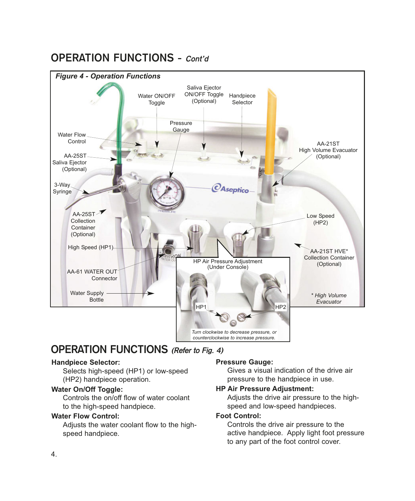### **OPERATION FUNCTIONS - Cont'd**



### **OPERATION FUNCTIONS (Refer to Fig. 4)**

#### **Handpiece Selector:**

Selects high-speed (HP1) or low-speed (HP2) handpiece operation.

#### **Water On/Off Toggle:**

Controls the on/off flow of water coolant to the high-speed handpiece.

#### **Water Flow Control:**

Adjusts the water coolant flow to the highspeed handpiece.

#### **Pressure Gauge:**

Gives a visual indication of the drive air pressure to the handpiece in use.

#### **HP Air Pressure Adjustment:**

Adjusts the drive air pressure to the highspeed and low-speed handpieces.

#### **Foot Control:**

Controls the drive air pressure to the active handpiece. Apply light foot pressure to any part of the foot control cover.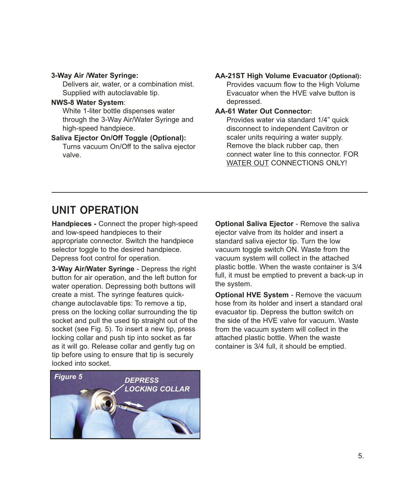#### **3-Way Air /Water Syringe:**

Delivers air, water, or a combination mist. Supplied with autoclavable tip.

#### **NWS-8 Water System**: White 1-liter bottle dispenses water through the 3-Way Air/Water Syringe and high-speed handpiece.

#### **Saliva Ejector On/Off Toggle (Optional):** Turns vacuum On/Off to the saliva ejector valve.

#### **AA-21ST High Volume Evacuator (Optional):** Provides vacuum flow to the High Volume Evacuator when the HVE valve button is depressed.

#### **AA-61 Water Out Connector:**

Provides water via standard 1/4" quick disconnect to independent Cavitron or scaler units requiring a water supply. Remove the black rubber cap, then connect water line to this connector. FOR WATER OUT CONNECTIONS ONLY!

### **UNIT OPERATION**

**Handpieces -** Connect the proper high-speed and low-speed handpieces to their appropriate connector. Switch the handpiece selector toggle to the desired handpiece. Depress foot control for operation.

**3-Way Air/Water Syringe** - Depress the right button for air operation, and the left button for water operation. Depressing both buttons will create a mist. The syringe features quickchange autoclavable tips: To remove a tip, press on the locking collar surrounding the tip socket and pull the used tip straight out of the socket (see Fig. 5). To insert a new tip, press locking collar and push tip into socket as far as it will go. Release collar and gently tug on tip before using to ensure that tip is securely locked into socket.

**Optional Saliva Ejector** - Remove the saliva ejector valve from its holder and insert a standard saliva ejector tip. Turn the low vacuum toggle switch ON. Waste from the vacuum system will collect in the attached plastic bottle. When the waste container is 3/4 full, it must be emptied to prevent a back-up in the system.

**Optional HVE System** - Remove the vacuum hose from its holder and insert a standard oral evacuator tip. Depress the button switch on the side of the HVE valve for vacuum. Waste from the vacuum system will collect in the attached plastic bottle. When the waste container is 3/4 full, it should be emptied.